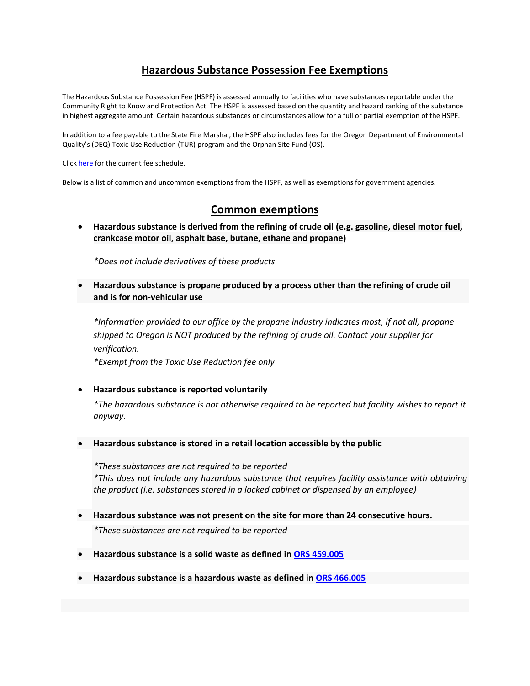## **Hazardous Substance Possession Fee Exemptions**

The Hazardous Substance Possession Fee (HSPF) is assessed annually to facilities who have substances reportable under the Community Right to Know and Protection Act. The HSPF is assessed based on the quantity and hazard ranking of the substance in highest aggregate amount. Certain hazardous substances or circumstances allow for a full or partial exemption of the HSPF.

In addition to a fee payable to the State Fire Marshal, the HSPF also includes fees for the Oregon Department of Environmental Quality's (DEQ) Toxic Use Reduction (TUR) program and the Orphan Site Fund (OS).

Click [here](https://www.oregon.gov/osp/Docs/Hazardous%20Fee%20Schedule%202018.pdf) for the current fee schedule.

Below is a list of common and uncommon exemptions from the HSPF, as well as exemptions for government agencies.

## **Common exemptions**

 **Hazardous substance is derived from the refining of crude oil (e.g. gasoline, diesel motor fuel, crankcase motor oil, asphalt base, butane, ethane and propane)** 

*\*Does not include derivatives of these products*

 **Hazardous substance is propane produced by a process other than the refining of crude oil and is for non-vehicular use** 

*\*Information provided to our office by the propane industry indicates most, if not all, propane shipped to Oregon is NOT produced by the refining of crude oil. Contact your supplier for verification.* 

*\*Exempt from the Toxic Use Reduction fee only*

**Hazardous substance is reported voluntarily**

*\*The hazardous substance is not otherwise required to be reported but facility wishes to report it anyway.* 

**Hazardous substance is stored in a retail location accessible by the public**

*\*These substances are not required to be reported \*This does not include any hazardous substance that requires facility assistance with obtaining the product (i.e. substances stored in a locked cabinet or dispensed by an employee)*

**Hazardous substance was not present on the site for more than 24 consecutive hours.**

*\*These substances are not required to be reported*

- **Hazardous substance is a solid waste as defined in [ORS 459.005](https://www.oregonlegislature.gov/bills_laws/ors/ors459.html)**
- **Hazardous substance is a hazardous waste as defined in [ORS 466.005](https://www.oregonlegislature.gov/bills_laws/ors/ors466.html)**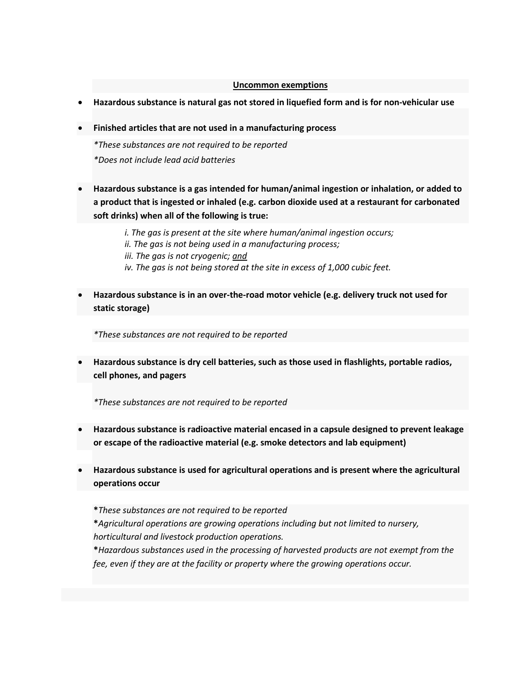## **Uncommon exemptions**

- **Hazardous substance is natural gas not stored in liquefied form and is for non-vehicular use**
- **Finished articles that are not used in a manufacturing process**

*\*These substances are not required to be reported \*Does not include lead acid batteries*

 **Hazardous substance is a gas intended for human/animal ingestion or inhalation, or added to a product that is ingested or inhaled (e.g. carbon dioxide used at a restaurant for carbonated soft drinks) when all of the following is true:**

> *i. The gas is present at the site where human/animal ingestion occurs; ii. The gas is not being used in a manufacturing process; iii. The gas is not cryogenic; and iv. The gas is not being stored at the site in excess of 1,000 cubic feet.*

 **Hazardous substance is in an over-the-road motor vehicle (e.g. delivery truck not used for static storage)**

*\*These substances are not required to be reported*

 **Hazardous substance is dry cell batteries, such as those used in flashlights, portable radios, cell phones, and pagers**

*\*These substances are not required to be reported*

- **Hazardous substance is radioactive material encased in a capsule designed to prevent leakage or escape of the radioactive material (e.g. smoke detectors and lab equipment)**
- **Hazardous substance is used for agricultural operations and is present where the agricultural operations occur**

**\****These substances are not required to be reported*

**\****Agricultural operations are growing operations including but not limited to nursery, horticultural and livestock production operations.*

**\****Hazardous substances used in the processing of harvested products are not exempt from the fee, even if they are at the facility or property where the growing operations occur.*